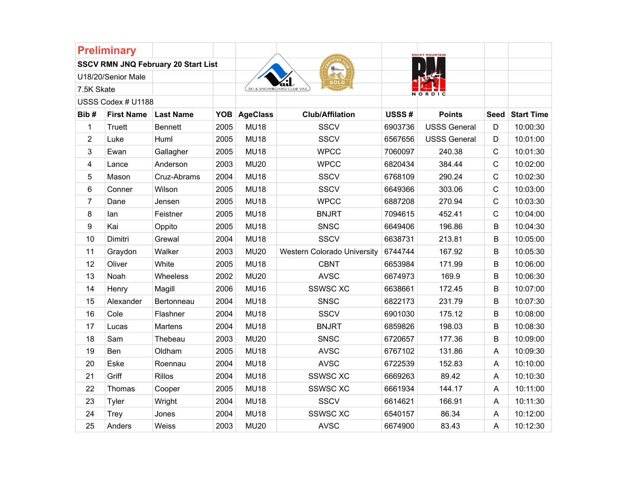|                         | <b>Preliminary</b> |                                            |            |                 |                             |         | <b>ROCKY MOUNTAIN</b> |              |                   |
|-------------------------|--------------------|--------------------------------------------|------------|-----------------|-----------------------------|---------|-----------------------|--------------|-------------------|
|                         |                    | <b>SSCV RMN JNQ February 20 Start List</b> |            |                 | US<br>HQ Illidanası         |         |                       |              |                   |
|                         | U18/20/Senior Male |                                            |            |                 | GOLD                        |         |                       |              |                   |
| 7.5K Skate              |                    |                                            |            |                 |                             |         | NORDIC                |              |                   |
|                         | USSS Codex # U1188 |                                            |            |                 |                             |         |                       |              |                   |
| Bib#                    | <b>First Name</b>  | <b>Last Name</b>                           | <b>YOB</b> | <b>AgeClass</b> | <b>Club/Affilation</b>      | USSS#   | <b>Points</b>         | Seed         | <b>Start Time</b> |
| 1                       | <b>Truett</b>      | <b>Bennett</b>                             | 2005       | <b>MU18</b>     | <b>SSCV</b>                 | 6903736 | <b>USSS General</b>   | D            | 10:00:30          |
| $\overline{2}$          | Luke               | Huml                                       | 2005       | <b>MU18</b>     | <b>SSCV</b>                 | 6567656 | <b>USSS General</b>   | D            | 10:01:00          |
| 3                       | Ewan               | Gallagher                                  | 2005       | <b>MU18</b>     | <b>WPCC</b>                 | 7060097 | 240.38                | $\mathsf{C}$ | 10:01:30          |
| $\overline{\mathbf{4}}$ | Lance              | Anderson                                   | 2003       | <b>MU20</b>     | <b>WPCC</b>                 | 6820434 | 384.44                | $\mathsf C$  | 10:02:00          |
| 5                       | Mason              | Cruz-Abrams                                | 2004       | <b>MU18</b>     | <b>SSCV</b>                 | 6768109 | 290.24                | $\mathbf C$  | 10:02:30          |
| 6                       | Conner             | Wilson                                     | 2005       | <b>MU18</b>     | <b>SSCV</b>                 | 6649366 | 303.06                | $\mathsf C$  | 10:03:00          |
| $\overline{7}$          | Dane               | Jensen                                     | 2005       | <b>MU18</b>     | <b>WPCC</b>                 | 6887208 | 270.94                | $\mathbf C$  | 10:03:30          |
| 8                       | lan                | Feistner                                   | 2005       | <b>MU18</b>     | <b>BNJRT</b>                | 7094615 | 452.41                | $\mathbf C$  | 10:04:00          |
| 9                       | Kai                | Oppito                                     | 2005       | <b>MU18</b>     | <b>SNSC</b>                 | 6649406 | 196.86                | B            | 10:04:30          |
| 10                      | Dimitri            | Grewal                                     | 2004       | <b>MU18</b>     | <b>SSCV</b>                 | 6638731 | 213.81                | B            | 10:05:00          |
| 11                      | Graydon            | Walker                                     | 2003       | <b>MU20</b>     | Western Colorado University | 6744744 | 167.92                | B            | 10:05:30          |
| 12                      | Oliver             | White                                      | 2005       | <b>MU18</b>     | <b>CBNT</b>                 | 6653984 | 171.99                | $\sf B$      | 10:06:00          |
| 13                      | Noah               | Wheeless                                   | 2002       | <b>MU20</b>     | <b>AVSC</b>                 | 6674973 | 169.9                 | B            | 10:06:30          |
| 14                      | Henry              | Magill                                     | 2006       | <b>MU16</b>     | <b>SSWSC XC</b>             | 6638661 | 172.45                | B            | 10:07:00          |
| 15                      | Alexander          | Bertonneau                                 | 2004       | <b>MU18</b>     | <b>SNSC</b>                 | 6822173 | 231.79                | B            | 10:07:30          |
| 16                      | Cole               | Flashner                                   | 2004       | <b>MU18</b>     | <b>SSCV</b>                 | 6901030 | 175.12                | B            | 10:08:00          |
| 17                      | Lucas              | <b>Martens</b>                             | 2004       | <b>MU18</b>     | <b>BNJRT</b>                | 6859826 | 198.03                | $\sf B$      | 10:08:30          |
| 18                      | Sam                | Thebeau                                    | 2003       | <b>MU20</b>     | SNSC                        | 6720657 | 177.36                | B            | 10:09:00          |
| 19                      | Ben                | Oldham                                     | 2005       | <b>MU18</b>     | <b>AVSC</b>                 | 6767102 | 131.86                | A            | 10:09:30          |
| 20                      | Eske               | Roennau                                    | 2004       | <b>MU18</b>     | <b>AVSC</b>                 | 6722539 | 152.83                | A            | 10:10:00          |
| 21                      | Griff              | <b>Rillos</b>                              | 2004       | <b>MU18</b>     | <b>SSWSC XC</b>             | 6669263 | 89.42                 | A            | 10:10:30          |
| 22                      | Thomas             | Cooper                                     | 2005       | <b>MU18</b>     | <b>SSWSC XC</b>             | 6661934 | 144.17                | A            | 10:11:00          |
| 23                      | Tyler              | Wright                                     | 2004       | <b>MU18</b>     | <b>SSCV</b>                 | 6614621 | 166.91                | A            | 10:11:30          |
| 24                      | Trey               | Jones                                      | 2004       | <b>MU18</b>     | <b>SSWSC XC</b>             | 6540157 | 86.34                 | A            | 10:12:00          |
| 25                      | Anders             | Weiss                                      | 2003       | <b>MU20</b>     | <b>AVSC</b>                 | 6674900 | 83.43                 | A            | 10:12:30          |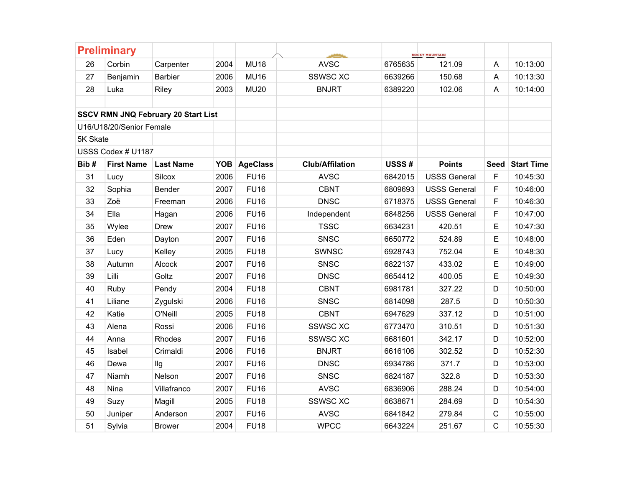|          | <b>Preliminary</b>       |                                            |      |                 |                        |         | <b>ROCKY MOUNTAIN</b> |             |                   |
|----------|--------------------------|--------------------------------------------|------|-----------------|------------------------|---------|-----------------------|-------------|-------------------|
| 26       | Corbin                   | Carpenter                                  | 2004 | <b>MU18</b>     | <b>AVSC</b>            | 6765635 | 121.09                | A           | 10:13:00          |
| 27       | Benjamin                 | <b>Barbier</b>                             | 2006 | <b>MU16</b>     | <b>SSWSC XC</b>        | 6639266 | 150.68                | A           | 10:13:30          |
| 28       | Luka                     | <b>Riley</b>                               | 2003 | <b>MU20</b>     | <b>BNJRT</b>           | 6389220 | 102.06                | A           | 10:14:00          |
|          |                          |                                            |      |                 |                        |         |                       |             |                   |
|          |                          | <b>SSCV RMN JNQ February 20 Start List</b> |      |                 |                        |         |                       |             |                   |
|          | U16/U18/20/Senior Female |                                            |      |                 |                        |         |                       |             |                   |
| 5K Skate |                          |                                            |      |                 |                        |         |                       |             |                   |
|          | USSS Codex # U1187       |                                            |      |                 |                        |         |                       |             |                   |
| Bib#     | <b>First Name</b>        | <b>Last Name</b>                           | YOB  | <b>AgeClass</b> | <b>Club/Affilation</b> | USSS#   | <b>Points</b>         | Seed        | <b>Start Time</b> |
| 31       | Lucy                     | <b>Silcox</b>                              | 2006 | <b>FU16</b>     | <b>AVSC</b>            | 6842015 | <b>USSS General</b>   | F           | 10:45:30          |
| 32       | Sophia                   | Bender                                     | 2007 | <b>FU16</b>     | <b>CBNT</b>            | 6809693 | <b>USSS General</b>   | F           | 10:46:00          |
| 33       | Zoë                      | Freeman                                    | 2006 | <b>FU16</b>     | <b>DNSC</b>            | 6718375 | <b>USSS General</b>   | F           | 10:46:30          |
| 34       | Ella                     | Hagan                                      | 2006 | <b>FU16</b>     | Independent            | 6848256 | <b>USSS General</b>   | F           | 10:47:00          |
| 35       | Wylee                    | <b>Drew</b>                                | 2007 | <b>FU16</b>     | <b>TSSC</b>            | 6634231 | 420.51                | Е           | 10:47:30          |
| 36       | Eden                     | Dayton                                     | 2007 | <b>FU16</b>     | SNSC                   | 6650772 | 524.89                | E           | 10:48:00          |
| 37       | Lucy                     | Kelley                                     | 2005 | <b>FU18</b>     | <b>SWNSC</b>           | 6928743 | 752.04                | E           | 10:48:30          |
| 38       | Autumn                   | Alcock                                     | 2007 | <b>FU16</b>     | SNSC                   | 6822137 | 433.02                | E           | 10:49:00          |
| 39       | Lilli                    | Goltz                                      | 2007 | <b>FU16</b>     | <b>DNSC</b>            | 6654412 | 400.05                | Е           | 10:49:30          |
| 40       | Ruby                     | Pendy                                      | 2004 | <b>FU18</b>     | <b>CBNT</b>            | 6981781 | 327.22                | D           | 10:50:00          |
| 41       | Liliane                  | Zygulski                                   | 2006 | <b>FU16</b>     | SNSC                   | 6814098 | 287.5                 | D           | 10:50:30          |
| 42       | Katie                    | O'Neill                                    | 2005 | <b>FU18</b>     | <b>CBNT</b>            | 6947629 | 337.12                | D           | 10:51:00          |
| 43       | Alena                    | Rossi                                      | 2006 | <b>FU16</b>     | <b>SSWSC XC</b>        | 6773470 | 310.51                | D           | 10:51:30          |
| 44       | Anna                     | Rhodes                                     | 2007 | <b>FU16</b>     | <b>SSWSC XC</b>        | 6681601 | 342.17                | D           | 10:52:00          |
| 45       | Isabel                   | Crimaldi                                   | 2006 | <b>FU16</b>     | <b>BNJRT</b>           | 6616106 | 302.52                | D           | 10:52:30          |
| 46       | Dewa                     | llg                                        | 2007 | <b>FU16</b>     | <b>DNSC</b>            | 6934786 | 371.7                 | D           | 10:53:00          |
| 47       | Niamh                    | Nelson                                     | 2007 | <b>FU16</b>     | <b>SNSC</b>            | 6824187 | 322.8                 | D           | 10:53:30          |
| 48       | Nina                     | Villafranco                                | 2007 | <b>FU16</b>     | <b>AVSC</b>            | 6836906 | 288.24                | D           | 10:54:00          |
| 49       | Suzy                     | Magill                                     | 2005 | <b>FU18</b>     | <b>SSWSC XC</b>        | 6638671 | 284.69                | D           | 10:54:30          |
| 50       | Juniper                  | Anderson                                   | 2007 | <b>FU16</b>     | <b>AVSC</b>            | 6841842 | 279.84                | $\mathsf C$ | 10:55:00          |
| 51       | Sylvia                   | <b>Brower</b>                              | 2004 | <b>FU18</b>     | <b>WPCC</b>            | 6643224 | 251.67                | C           | 10:55:30          |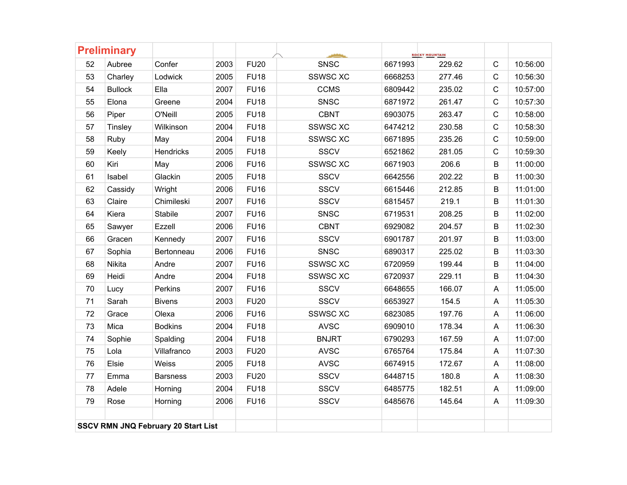|         | <b>Preliminary</b> |                                            |      |             |                 |         | <b>ROCKY MOUNTAIN</b> |              |          |
|---------|--------------------|--------------------------------------------|------|-------------|-----------------|---------|-----------------------|--------------|----------|
| 52      | Aubree             | Confer                                     | 2003 | <b>FU20</b> | <b>SNSC</b>     | 6671993 | 229.62                | $\mathsf{C}$ | 10:56:00 |
| 53      | Charley            | Lodwick                                    | 2005 | <b>FU18</b> | <b>SSWSC XC</b> | 6668253 | 277.46                | $\mathbf C$  | 10:56:30 |
| 54      | <b>Bullock</b>     | Ella                                       | 2007 | <b>FU16</b> | <b>CCMS</b>     | 6809442 | 235.02                | $\mathsf{C}$ | 10:57:00 |
| 55      | Elona              | Greene                                     | 2004 | <b>FU18</b> | <b>SNSC</b>     | 6871972 | 261.47                | $\mathbf C$  | 10:57:30 |
| 56      | Piper              | O'Neill                                    | 2005 | <b>FU18</b> | <b>CBNT</b>     | 6903075 | 263.47                | $\mathsf C$  | 10:58:00 |
| 57      | Tinsley            | Wilkinson                                  | 2004 | <b>FU18</b> | <b>SSWSC XC</b> | 6474212 | 230.58                | $\mathsf{C}$ | 10:58:30 |
| 58      | Ruby               | May                                        | 2004 | <b>FU18</b> | <b>SSWSC XC</b> | 6671895 | 235.26                | $\mathbf C$  | 10:59:00 |
| 59      | Keely              | <b>Hendricks</b>                           | 2005 | <b>FU18</b> | <b>SSCV</b>     | 6521862 | 281.05                | $\mathbf C$  | 10:59:30 |
| 60      | Kiri               | May                                        | 2006 | <b>FU16</b> | <b>SSWSC XC</b> | 6671903 | 206.6                 | B            | 11:00:00 |
| 61      | Isabel             | Glackin                                    | 2005 | <b>FU18</b> | <b>SSCV</b>     | 6642556 | 202.22                | B            | 11:00:30 |
| 62      | Cassidy            | Wright                                     | 2006 | <b>FU16</b> | <b>SSCV</b>     | 6615446 | 212.85                | B            | 11:01:00 |
| 63      | Claire             | Chimileski                                 | 2007 | <b>FU16</b> | <b>SSCV</b>     | 6815457 | 219.1                 | B            | 11:01:30 |
| 64      | Kiera              | <b>Stabile</b>                             | 2007 | <b>FU16</b> | <b>SNSC</b>     | 6719531 | 208.25                | B            | 11:02:00 |
| 65      | Sawyer             | Ezzell                                     | 2006 | <b>FU16</b> | <b>CBNT</b>     | 6929082 | 204.57                | B            | 11:02:30 |
| 66      | Gracen             | Kennedy                                    | 2007 | <b>FU16</b> | <b>SSCV</b>     | 6901787 | 201.97                | B            | 11:03:00 |
| 67      | Sophia             | Bertonneau                                 | 2006 | <b>FU16</b> | <b>SNSC</b>     | 6890317 | 225.02                | B            | 11:03:30 |
| 68      | Nikita             | Andre                                      | 2007 | <b>FU16</b> | <b>SSWSC XC</b> | 6720959 | 199.44                | B            | 11:04:00 |
| 69      | Heidi              | Andre                                      | 2004 | <b>FU18</b> | <b>SSWSC XC</b> | 6720937 | 229.11                | B            | 11:04:30 |
| 70      | Lucy               | Perkins                                    | 2007 | <b>FU16</b> | <b>SSCV</b>     | 6648655 | 166.07                | A            | 11:05:00 |
| 71      | Sarah              | <b>Bivens</b>                              | 2003 | <b>FU20</b> | <b>SSCV</b>     | 6653927 | 154.5                 | A            | 11:05:30 |
| 72      | Grace              | Olexa                                      | 2006 | <b>FU16</b> | <b>SSWSC XC</b> | 6823085 | 197.76                | A            | 11:06:00 |
| 73      | Mica               | <b>Bodkins</b>                             | 2004 | <b>FU18</b> | <b>AVSC</b>     | 6909010 | 178.34                | A            | 11:06:30 |
| 74      | Sophie             | Spalding                                   | 2004 | <b>FU18</b> | <b>BNJRT</b>    | 6790293 | 167.59                | A            | 11:07:00 |
| 75      | Lola               | Villafranco                                | 2003 | <b>FU20</b> | <b>AVSC</b>     | 6765764 | 175.84                | A            | 11:07:30 |
| 76      | Elsie              | Weiss                                      | 2005 | <b>FU18</b> | <b>AVSC</b>     | 6674915 | 172.67                | A            | 11:08:00 |
| $77 \,$ | Emma               | <b>Barsness</b>                            | 2003 | <b>FU20</b> | <b>SSCV</b>     | 6448715 | 180.8                 | A            | 11:08:30 |
| 78      | Adele              | Horning                                    | 2004 | <b>FU18</b> | <b>SSCV</b>     | 6485775 | 182.51                | A            | 11:09:00 |
| 79      | Rose               | Horning                                    | 2006 | <b>FU16</b> | <b>SSCV</b>     | 6485676 | 145.64                | A            | 11:09:30 |
|         |                    | <b>SSCV RMN JNQ February 20 Start List</b> |      |             |                 |         |                       |              |          |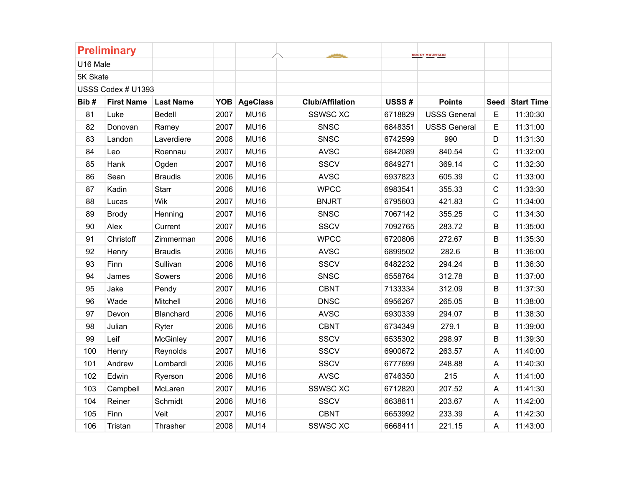|          | <b>Preliminary</b> |                  |      |                 |                        |         | <b>ROCKY MOUNTAIN</b> |              |                   |
|----------|--------------------|------------------|------|-----------------|------------------------|---------|-----------------------|--------------|-------------------|
| U16 Male |                    |                  |      |                 |                        |         |                       |              |                   |
| 5K Skate |                    |                  |      |                 |                        |         |                       |              |                   |
|          | USSS Codex # U1393 |                  |      |                 |                        |         |                       |              |                   |
| Bib#     | <b>First Name</b>  | <b>Last Name</b> | YOB  | <b>AgeClass</b> | <b>Club/Affilation</b> | USSS#   | <b>Points</b>         | <b>Seed</b>  | <b>Start Time</b> |
| 81       | Luke               | Bedell           | 2007 | <b>MU16</b>     | <b>SSWSC XC</b>        | 6718829 | <b>USSS General</b>   | $\mathsf E$  | 11:30:30          |
| 82       | Donovan            | Ramey            | 2007 | <b>MU16</b>     | <b>SNSC</b>            | 6848351 | <b>USSS General</b>   | E            | 11:31:00          |
| 83       | Landon             | Laverdiere       | 2008 | <b>MU16</b>     | <b>SNSC</b>            | 6742599 | 990                   | D            | 11:31:30          |
| 84       | Leo                | Roennau          | 2007 | <b>MU16</b>     | <b>AVSC</b>            | 6842089 | 840.54                | $\mathsf C$  | 11:32:00          |
| 85       | Hank               | Ogden            | 2007 | <b>MU16</b>     | <b>SSCV</b>            | 6849271 | 369.14                | $\mathsf C$  | 11:32:30          |
| 86       | Sean               | <b>Braudis</b>   | 2006 | <b>MU16</b>     | <b>AVSC</b>            | 6937823 | 605.39                | $\mathsf C$  | 11:33:00          |
| 87       | Kadin              | <b>Starr</b>     | 2006 | <b>MU16</b>     | <b>WPCC</b>            | 6983541 | 355.33                | $\mathsf{C}$ | 11:33:30          |
| 88       | Lucas              | Wik              | 2007 | <b>MU16</b>     | <b>BNJRT</b>           | 6795603 | 421.83                | $\mathbf C$  | 11:34:00          |
| 89       | <b>Brody</b>       | Henning          | 2007 | <b>MU16</b>     | <b>SNSC</b>            | 7067142 | 355.25                | $\mathsf{C}$ | 11:34:30          |
| 90       | Alex               | Current          | 2007 | <b>MU16</b>     | <b>SSCV</b>            | 7092765 | 283.72                | B            | 11:35:00          |
| 91       | Christoff          | Zimmerman        | 2006 | <b>MU16</b>     | <b>WPCC</b>            | 6720806 | 272.67                | $\sf B$      | 11:35:30          |
| 92       | Henry              | <b>Braudis</b>   | 2006 | <b>MU16</b>     | <b>AVSC</b>            | 6899502 | 282.6                 | B            | 11:36:00          |
| 93       | Finn               | Sullivan         | 2006 | <b>MU16</b>     | <b>SSCV</b>            | 6482232 | 294.24                | B            | 11:36:30          |
| 94       | James              | Sowers           | 2006 | <b>MU16</b>     | <b>SNSC</b>            | 6558764 | 312.78                | B            | 11:37:00          |
| 95       | Jake               | Pendy            | 2007 | <b>MU16</b>     | <b>CBNT</b>            | 7133334 | 312.09                | B            | 11:37:30          |
| 96       | Wade               | Mitchell         | 2006 | <b>MU16</b>     | <b>DNSC</b>            | 6956267 | 265.05                | $\sf B$      | 11:38:00          |
| 97       | Devon              | Blanchard        | 2006 | <b>MU16</b>     | <b>AVSC</b>            | 6930339 | 294.07                | B            | 11:38:30          |
| 98       | Julian             | Ryter            | 2006 | <b>MU16</b>     | <b>CBNT</b>            | 6734349 | 279.1                 | B            | 11:39:00          |
| 99       | Leif               | McGinley         | 2007 | <b>MU16</b>     | <b>SSCV</b>            | 6535302 | 298.97                | B            | 11:39:30          |
| 100      | Henry              | Reynolds         | 2007 | <b>MU16</b>     | <b>SSCV</b>            | 6900672 | 263.57                | A            | 11:40:00          |
| 101      | Andrew             | Lombardi         | 2006 | <b>MU16</b>     | <b>SSCV</b>            | 6777699 | 248.88                | A            | 11:40:30          |
| 102      | Edwin              | Ryerson          | 2006 | <b>MU16</b>     | <b>AVSC</b>            | 6746350 | 215                   | A            | 11:41:00          |
| 103      | Campbell           | McLaren          | 2007 | <b>MU16</b>     | <b>SSWSC XC</b>        | 6712820 | 207.52                | A            | 11:41:30          |
| 104      | Reiner             | Schmidt          | 2006 | <b>MU16</b>     | <b>SSCV</b>            | 6638811 | 203.67                | A            | 11:42:00          |
| 105      | Finn               | Veit             | 2007 | <b>MU16</b>     | <b>CBNT</b>            | 6653992 | 233.39                | A            | 11:42:30          |
| 106      | Tristan            | Thrasher         | 2008 | <b>MU14</b>     | <b>SSWSC XC</b>        | 6668411 | 221.15                | A            | 11:43:00          |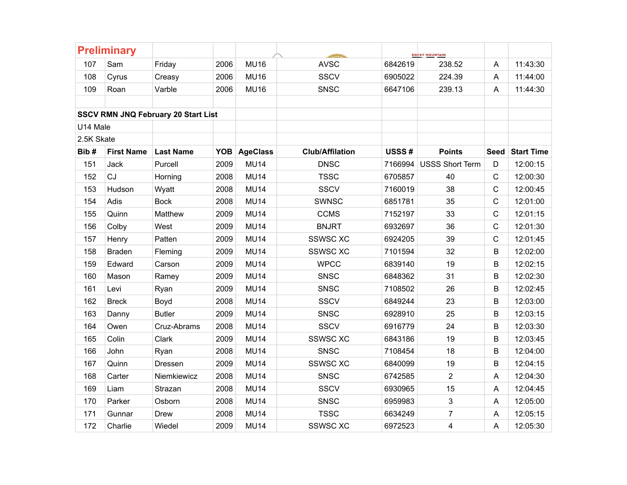|            | <b>Preliminary</b> |                                            |      |              |                        |         | <b>ROCKY MOUNTAIN</b>   |              |                   |
|------------|--------------------|--------------------------------------------|------|--------------|------------------------|---------|-------------------------|--------------|-------------------|
| 107        | Sam                | Friday                                     | 2006 | <b>MU16</b>  | <b>AVSC</b>            | 6842619 | 238.52                  | A            | 11:43:30          |
| 108        | Cyrus              | Creasy                                     | 2006 | <b>MU16</b>  | <b>SSCV</b>            | 6905022 | 224.39                  | A            | 11:44:00          |
| 109        | Roan               | Varble                                     | 2006 | <b>MU16</b>  | <b>SNSC</b>            | 6647106 | 239.13                  | A            | 11:44:30          |
|            |                    |                                            |      |              |                        |         |                         |              |                   |
|            |                    | <b>SSCV RMN JNQ February 20 Start List</b> |      |              |                        |         |                         |              |                   |
| U14 Male   |                    |                                            |      |              |                        |         |                         |              |                   |
| 2.5K Skate |                    |                                            |      |              |                        |         |                         |              |                   |
| Bib#       | <b>First Name</b>  | <b>Last Name</b>                           |      | YOB AgeClass | <b>Club/Affilation</b> | USSS#   | <b>Points</b>           | <b>Seed</b>  | <b>Start Time</b> |
| 151        | Jack               | Purcell                                    | 2009 | <b>MU14</b>  | <b>DNSC</b>            | 7166994 | <b>USSS Short Term</b>  | D            | 12:00:15          |
| 152        | CJ                 | Horning                                    | 2008 | <b>MU14</b>  | <b>TSSC</b>            | 6705857 | 40                      | $\mathsf{C}$ | 12:00:30          |
| 153        | Hudson             | Wyatt                                      | 2008 | <b>MU14</b>  | <b>SSCV</b>            | 7160019 | 38                      | $\mathsf{C}$ | 12:00:45          |
| 154        | Adis               | <b>Bock</b>                                | 2008 | <b>MU14</b>  | <b>SWNSC</b>           | 6851781 | 35                      | $\mathsf{C}$ | 12:01:00          |
| 155        | Quinn              | Matthew                                    | 2009 | <b>MU14</b>  | <b>CCMS</b>            | 7152197 | 33                      | $\mathsf{C}$ | 12:01:15          |
| 156        | Colby              | West                                       | 2009 | <b>MU14</b>  | <b>BNJRT</b>           | 6932697 | 36                      | $\mathsf{C}$ | 12:01:30          |
| 157        | Henry              | Patten                                     | 2009 | <b>MU14</b>  | <b>SSWSC XC</b>        | 6924205 | 39                      | $\mathsf{C}$ | 12:01:45          |
| 158        | <b>Braden</b>      | Fleming                                    | 2009 | <b>MU14</b>  | <b>SSWSC XC</b>        | 7101594 | 32                      | B            | 12:02:00          |
| 159        | Edward             | Carson                                     | 2009 | <b>MU14</b>  | <b>WPCC</b>            | 6839140 | 19                      | B            | 12:02:15          |
| 160        | Mason              | Ramey                                      | 2009 | <b>MU14</b>  | <b>SNSC</b>            | 6848362 | 31                      | B            | 12:02:30          |
| 161        | Levi               | Ryan                                       | 2009 | <b>MU14</b>  | <b>SNSC</b>            | 7108502 | 26                      | B            | 12:02:45          |
| 162        | <b>Breck</b>       | Boyd                                       | 2008 | <b>MU14</b>  | <b>SSCV</b>            | 6849244 | 23                      | B            | 12:03:00          |
| 163        | Danny              | <b>Butler</b>                              | 2009 | <b>MU14</b>  | <b>SNSC</b>            | 6928910 | 25                      | В            | 12:03:15          |
| 164        | Owen               | Cruz-Abrams                                | 2008 | <b>MU14</b>  | <b>SSCV</b>            | 6916779 | 24                      | B            | 12:03:30          |
| 165        | Colin              | Clark                                      | 2009 | <b>MU14</b>  | <b>SSWSC XC</b>        | 6843186 | 19                      | B            | 12:03:45          |
| 166        | John               | Ryan                                       | 2008 | <b>MU14</b>  | <b>SNSC</b>            | 7108454 | 18                      | B            | 12:04:00          |
| 167        | Quinn              | Dressen                                    | 2009 | <b>MU14</b>  | <b>SSWSC XC</b>        | 6840099 | 19                      | B            | 12:04:15          |
| 168        | Carter             | Niemkiewicz                                | 2008 | <b>MU14</b>  | <b>SNSC</b>            | 6742585 | $\overline{2}$          | A            | 12:04:30          |
| 169        | Liam               | Strazan                                    | 2008 | <b>MU14</b>  | <b>SSCV</b>            | 6930965 | 15                      | A            | 12:04:45          |
| 170        | Parker             | Osborn                                     | 2008 | <b>MU14</b>  | <b>SNSC</b>            | 6959983 | 3                       | A            | 12:05:00          |
| 171        | Gunnar             | <b>Drew</b>                                | 2008 | <b>MU14</b>  | <b>TSSC</b>            | 6634249 | $\overline{7}$          | A            | 12:05:15          |
| 172        | Charlie            | Wiedel                                     | 2009 | <b>MU14</b>  | <b>SSWSC XC</b>        | 6972523 | $\overline{\mathbf{4}}$ | A            | 12:05:30          |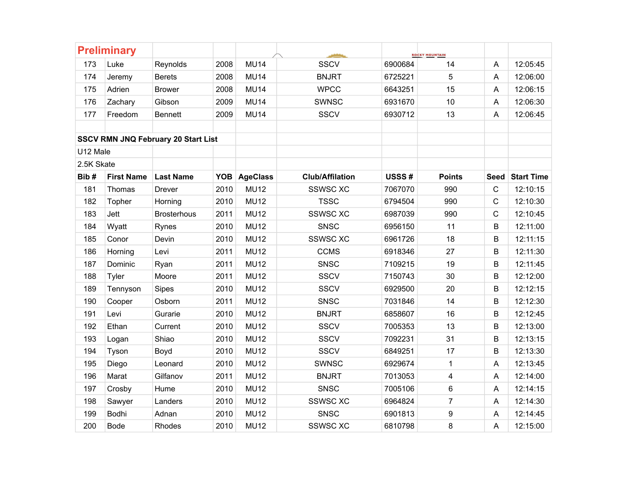|            | <b>Preliminary</b> |                                            |      |              |                        |         | <b>ROCKY MOUNTAIN</b>   |              |                   |
|------------|--------------------|--------------------------------------------|------|--------------|------------------------|---------|-------------------------|--------------|-------------------|
| 173        | Luke               | Reynolds                                   | 2008 | <b>MU14</b>  | <b>SSCV</b>            | 6900684 | 14                      | A            | 12:05:45          |
| 174        | Jeremy             | <b>Berets</b>                              | 2008 | <b>MU14</b>  | <b>BNJRT</b>           | 6725221 | 5                       | A            | 12:06:00          |
| 175        | Adrien             | <b>Brower</b>                              | 2008 | <b>MU14</b>  | <b>WPCC</b>            | 6643251 | 15                      | A            | 12:06:15          |
| 176        | Zachary            | Gibson                                     | 2009 | <b>MU14</b>  | <b>SWNSC</b>           | 6931670 | 10                      | A            | 12:06:30          |
| 177        | Freedom            | <b>Bennett</b>                             | 2009 | <b>MU14</b>  | <b>SSCV</b>            | 6930712 | 13                      | A            | 12:06:45          |
|            |                    |                                            |      |              |                        |         |                         |              |                   |
|            |                    | <b>SSCV RMN JNQ February 20 Start List</b> |      |              |                        |         |                         |              |                   |
| U12 Male   |                    |                                            |      |              |                        |         |                         |              |                   |
| 2.5K Skate |                    |                                            |      |              |                        |         |                         |              |                   |
| Bib#       | <b>First Name</b>  | <b>Last Name</b>                           |      | YOB AgeClass | <b>Club/Affilation</b> | USSS#   | <b>Points</b>           | <b>Seed</b>  | <b>Start Time</b> |
| 181        | Thomas             | Drever                                     | 2010 | <b>MU12</b>  | <b>SSWSC XC</b>        | 7067070 | 990                     | $\mathbf C$  | 12:10:15          |
| 182        | Topher             | Horning                                    | 2010 | <b>MU12</b>  | <b>TSSC</b>            | 6794504 | 990                     | $\mathsf{C}$ | 12:10:30          |
| 183        | Jett               | <b>Brosterhous</b>                         | 2011 | <b>MU12</b>  | <b>SSWSC XC</b>        | 6987039 | 990                     | $\mathbf C$  | 12:10:45          |
| 184        | Wyatt              | Rynes                                      | 2010 | <b>MU12</b>  | <b>SNSC</b>            | 6956150 | 11                      | B            | 12:11:00          |
| 185        | Conor              | Devin                                      | 2010 | <b>MU12</b>  | <b>SSWSC XC</b>        | 6961726 | 18                      | $\sf B$      | 12:11:15          |
| 186        | Horning            | Levi                                       | 2011 | <b>MU12</b>  | <b>CCMS</b>            | 6918346 | 27                      | B            | 12:11:30          |
| 187        | Dominic            | Ryan                                       | 2011 | <b>MU12</b>  | <b>SNSC</b>            | 7109215 | 19                      | $\sf B$      | 12:11:45          |
| 188        | Tyler              | Moore                                      | 2011 | <b>MU12</b>  | <b>SSCV</b>            | 7150743 | 30                      | B            | 12:12:00          |
| 189        | Tennyson           | <b>Sipes</b>                               | 2010 | <b>MU12</b>  | <b>SSCV</b>            | 6929500 | 20                      | B            | 12:12:15          |
| 190        | Cooper             | Osborn                                     | 2011 | <b>MU12</b>  | SNSC                   | 7031846 | 14                      | $\sf B$      | 12:12:30          |
| 191        | Levi               | Gurarie                                    | 2010 | <b>MU12</b>  | <b>BNJRT</b>           | 6858607 | 16                      | B            | 12:12:45          |
| 192        | Ethan              | Current                                    | 2010 | <b>MU12</b>  | <b>SSCV</b>            | 7005353 | 13                      | B            | 12:13:00          |
| 193        | Logan              | Shiao                                      | 2010 | <b>MU12</b>  | <b>SSCV</b>            | 7092231 | 31                      | B            | 12:13:15          |
| 194        | Tyson              | Boyd                                       | 2010 | <b>MU12</b>  | <b>SSCV</b>            | 6849251 | 17                      | B            | 12:13:30          |
| 195        | Diego              | Leonard                                    | 2010 | <b>MU12</b>  | <b>SWNSC</b>           | 6929674 | 1                       | A            | 12:13:45          |
| 196        | Marat              | Gilfanov                                   | 2011 | <b>MU12</b>  | <b>BNJRT</b>           | 7013053 | $\overline{\mathbf{4}}$ | A            | 12:14:00          |
| 197        | Crosby             | Hume                                       | 2010 | <b>MU12</b>  | <b>SNSC</b>            | 7005106 | $6\phantom{1}$          | A            | 12:14:15          |
| 198        | Sawyer             | Landers                                    | 2010 | <b>MU12</b>  | <b>SSWSC XC</b>        | 6964824 | $\overline{7}$          | A            | 12:14:30          |
| 199        | Bodhi              | Adnan                                      | 2010 | <b>MU12</b>  | <b>SNSC</b>            | 6901813 | $\boldsymbol{9}$        | A            | 12:14:45          |
| 200        | <b>Bode</b>        | Rhodes                                     | 2010 | <b>MU12</b>  | <b>SSWSC XC</b>        | 6810798 | 8                       | A            | 12:15:00          |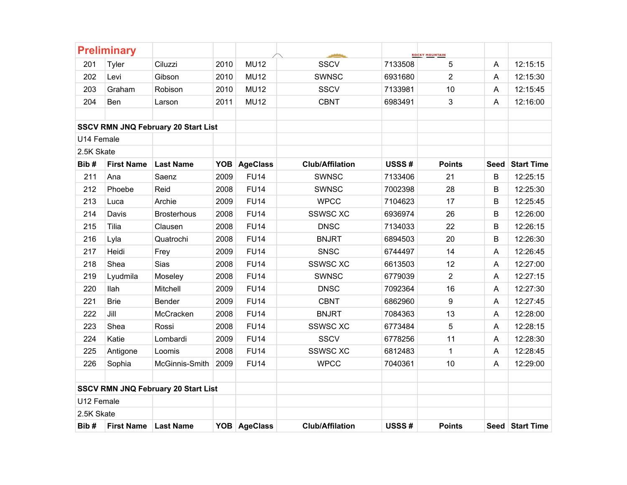|            | <b>Preliminary</b> |                                            |      |                 |                        |         | <b>ROCKY MOUNTAIN</b> |             |                   |
|------------|--------------------|--------------------------------------------|------|-----------------|------------------------|---------|-----------------------|-------------|-------------------|
| 201        | Tyler              | Ciluzzi                                    | 2010 | <b>MU12</b>     | <b>SSCV</b>            | 7133508 | 5                     | A           | 12:15:15          |
| 202        | Levi               | Gibson                                     | 2010 | <b>MU12</b>     | <b>SWNSC</b>           | 6931680 | $\overline{2}$        | A           | 12:15:30          |
| 203        | Graham             | Robison                                    | 2010 | <b>MU12</b>     | <b>SSCV</b>            | 7133981 | 10                    | A           | 12:15:45          |
| 204        | Ben                | Larson                                     | 2011 | <b>MU12</b>     | <b>CBNT</b>            | 6983491 | 3                     | A           | 12:16:00          |
|            |                    |                                            |      |                 |                        |         |                       |             |                   |
|            |                    | <b>SSCV RMN JNQ February 20 Start List</b> |      |                 |                        |         |                       |             |                   |
| U14 Female |                    |                                            |      |                 |                        |         |                       |             |                   |
| 2.5K Skate |                    |                                            |      |                 |                        |         |                       |             |                   |
| Bib#       | <b>First Name</b>  | <b>Last Name</b>                           | YOB  | <b>AgeClass</b> | <b>Club/Affilation</b> | USSS#   | <b>Points</b>         | <b>Seed</b> | <b>Start Time</b> |
| 211        | Ana                | Saenz                                      | 2009 | <b>FU14</b>     | <b>SWNSC</b>           | 7133406 | 21                    | B           | 12:25:15          |
| 212        | Phoebe             | Reid                                       | 2008 | <b>FU14</b>     | <b>SWNSC</b>           | 7002398 | 28                    | B           | 12:25:30          |
| 213        | Luca               | Archie                                     | 2009 | <b>FU14</b>     | <b>WPCC</b>            | 7104623 | 17                    | B           | 12:25:45          |
| 214        | Davis              | <b>Brosterhous</b>                         | 2008 | <b>FU14</b>     | <b>SSWSC XC</b>        | 6936974 | 26                    | B           | 12:26:00          |
| 215        | Tilia              | Clausen                                    | 2008 | <b>FU14</b>     | <b>DNSC</b>            | 7134033 | 22                    | B           | 12:26:15          |
| 216        | Lyla               | Quatrochi                                  | 2008 | <b>FU14</b>     | <b>BNJRT</b>           | 6894503 | 20                    | B           | 12:26:30          |
| 217        | Heidi              | Frey                                       | 2009 | <b>FU14</b>     | <b>SNSC</b>            | 6744497 | 14                    | A           | 12:26:45          |
| 218        | Shea               | Sias                                       | 2008 | <b>FU14</b>     | <b>SSWSC XC</b>        | 6613503 | 12                    | A           | 12:27:00          |
| 219        | Lyudmila           | Moseley                                    | 2008 | <b>FU14</b>     | <b>SWNSC</b>           | 6779039 | 2                     | A           | 12:27:15          |
| 220        | llah               | Mitchell                                   | 2009 | <b>FU14</b>     | <b>DNSC</b>            | 7092364 | 16                    | A           | 12:27:30          |
| 221        | <b>Brie</b>        | Bender                                     | 2009 | <b>FU14</b>     | <b>CBNT</b>            | 6862960 | $\boldsymbol{9}$      | A           | 12:27:45          |
| 222        | Jill               | McCracken                                  | 2008 | <b>FU14</b>     | <b>BNJRT</b>           | 7084363 | 13                    | A           | 12:28:00          |
| 223        | Shea               | Rossi                                      | 2008 | <b>FU14</b>     | <b>SSWSC XC</b>        | 6773484 | 5                     | A           | 12:28:15          |
| 224        | Katie              | Lombardi                                   | 2009 | <b>FU14</b>     | <b>SSCV</b>            | 6778256 | 11                    | A           | 12:28:30          |
| 225        | Antigone           | Loomis                                     | 2008 | <b>FU14</b>     | <b>SSWSC XC</b>        | 6812483 | $\mathbf 1$           | A           | 12:28:45          |
| 226        | Sophia             | McGinnis-Smith                             | 2009 | <b>FU14</b>     | <b>WPCC</b>            | 7040361 | 10                    | A           | 12:29:00          |
|            |                    |                                            |      |                 |                        |         |                       |             |                   |
|            |                    | <b>SSCV RMN JNQ February 20 Start List</b> |      |                 |                        |         |                       |             |                   |
| U12 Female |                    |                                            |      |                 |                        |         |                       |             |                   |
| 2.5K Skate |                    |                                            |      |                 |                        |         |                       |             |                   |
| Bib#       | <b>First Name</b>  | <b>Last Name</b>                           |      | YOB AgeClass    | <b>Club/Affilation</b> | USSS#   | <b>Points</b>         |             | Seed Start Time   |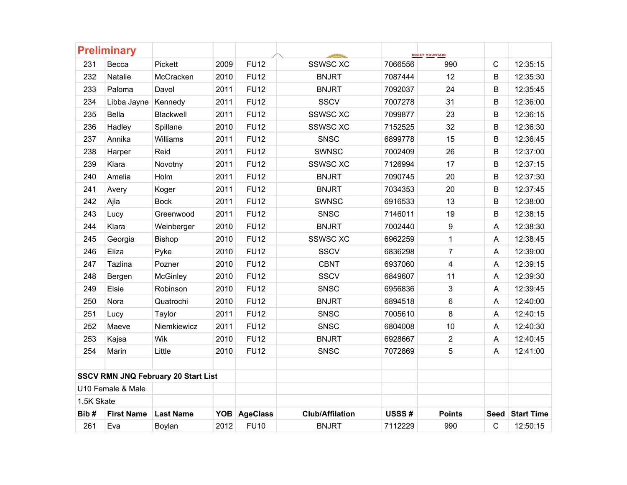|            | <b>Preliminary</b> |                                            |      |              |                        |         | <b>ROCKY MOUNTAIN</b>   |              |                   |
|------------|--------------------|--------------------------------------------|------|--------------|------------------------|---------|-------------------------|--------------|-------------------|
| 231        | Becca              | Pickett                                    | 2009 | <b>FU12</b>  | <b>SSWSC XC</b>        | 7066556 | 990                     | $\mathsf{C}$ | 12:35:15          |
| 232        | Natalie            | McCracken                                  | 2010 | <b>FU12</b>  | <b>BNJRT</b>           | 7087444 | 12                      | B            | 12:35:30          |
| 233        | Paloma             | Davol                                      | 2011 | <b>FU12</b>  | <b>BNJRT</b>           | 7092037 | 24                      | B            | 12:35:45          |
| 234        | Libba Jayne        | Kennedy                                    | 2011 | <b>FU12</b>  | <b>SSCV</b>            | 7007278 | 31                      | B            | 12:36:00          |
| 235        | Bella              | Blackwell                                  | 2011 | <b>FU12</b>  | <b>SSWSC XC</b>        | 7099877 | 23                      | B            | 12:36:15          |
| 236        | Hadley             | Spillane                                   | 2010 | <b>FU12</b>  | <b>SSWSC XC</b>        | 7152525 | 32                      | B            | 12:36:30          |
| 237        | Annika             | Williams                                   | 2011 | <b>FU12</b>  | SNSC                   | 6899778 | 15                      | $\sf B$      | 12:36:45          |
| 238        | Harper             | Reid                                       | 2011 | <b>FU12</b>  | <b>SWNSC</b>           | 7002409 | 26                      | B            | 12:37:00          |
| 239        | Klara              | Novotny                                    | 2011 | <b>FU12</b>  | <b>SSWSC XC</b>        | 7126994 | 17                      | B            | 12:37:15          |
| 240        | Amelia             | Holm                                       | 2011 | <b>FU12</b>  | <b>BNJRT</b>           | 7090745 | 20                      | B            | 12:37:30          |
| 241        | Avery              | Koger                                      | 2011 | <b>FU12</b>  | <b>BNJRT</b>           | 7034353 | 20                      | B            | 12:37:45          |
| 242        | Ajla               | <b>Bock</b>                                | 2011 | <b>FU12</b>  | <b>SWNSC</b>           | 6916533 | 13                      | B            | 12:38:00          |
| 243        | Lucy               | Greenwood                                  | 2011 | <b>FU12</b>  | <b>SNSC</b>            | 7146011 | 19                      | B            | 12:38:15          |
| 244        | Klara              | Weinberger                                 | 2010 | <b>FU12</b>  | <b>BNJRT</b>           | 7002440 | $\boldsymbol{9}$        | A            | 12:38:30          |
| 245        | Georgia            | Bishop                                     | 2010 | <b>FU12</b>  | <b>SSWSC XC</b>        | 6962259 | $\mathbf{1}$            | A            | 12:38:45          |
| 246        | Eliza              | Pyke                                       | 2010 | <b>FU12</b>  | <b>SSCV</b>            | 6836298 | $\overline{7}$          | A            | 12:39:00          |
| 247        | Tazlina            | Pozner                                     | 2010 | <b>FU12</b>  | <b>CBNT</b>            | 6937060 | $\overline{\mathbf{4}}$ | A            | 12:39:15          |
| 248        | Bergen             | McGinley                                   | 2010 | <b>FU12</b>  | <b>SSCV</b>            | 6849607 | 11                      | A            | 12:39:30          |
| 249        | Elsie              | Robinson                                   | 2010 | <b>FU12</b>  | <b>SNSC</b>            | 6956836 | 3                       | A            | 12:39:45          |
| 250        | Nora               | Quatrochi                                  | 2010 | <b>FU12</b>  | <b>BNJRT</b>           | 6894518 | 6                       | A            | 12:40:00          |
| 251        | Lucy               | Taylor                                     | 2011 | <b>FU12</b>  | <b>SNSC</b>            | 7005610 | 8                       | A            | 12:40:15          |
| 252        | Maeve              | Niemkiewicz                                | 2011 | <b>FU12</b>  | <b>SNSC</b>            | 6804008 | 10                      | A            | 12:40:30          |
| 253        | Kajsa              | Wik                                        | 2010 | <b>FU12</b>  | <b>BNJRT</b>           | 6928667 | $\overline{2}$          | A            | 12:40:45          |
| 254        | Marin              | Little                                     | 2010 | <b>FU12</b>  | <b>SNSC</b>            | 7072869 | 5                       | A            | 12:41:00          |
|            |                    |                                            |      |              |                        |         |                         |              |                   |
|            |                    | <b>SSCV RMN JNQ February 20 Start List</b> |      |              |                        |         |                         |              |                   |
|            | U10 Female & Male  |                                            |      |              |                        |         |                         |              |                   |
| 1.5K Skate |                    |                                            |      |              |                        |         |                         |              |                   |
| Bib#       | <b>First Name</b>  | <b>Last Name</b>                           |      | YOB AgeClass | <b>Club/Affilation</b> | USSS#   | <b>Points</b>           | Seed         | <b>Start Time</b> |
| 261        | Eva                | Boylan                                     | 2012 | <b>FU10</b>  | <b>BNJRT</b>           | 7112229 | 990                     | $\mathbf C$  | 12:50:15          |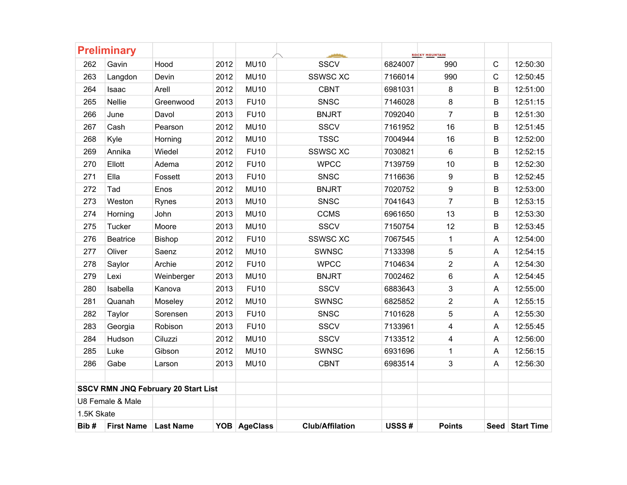| 6824007<br>7166014 | 990                     | $\mathsf{C}$         | 12:50:30        |
|--------------------|-------------------------|----------------------|-----------------|
|                    |                         |                      |                 |
|                    |                         | $\mathsf{C}$         | 12:50:45        |
| 6981031            | 8                       | B                    | 12:51:00        |
| 7146028            | 8                       | B                    | 12:51:15        |
| 7092040            | $\overline{7}$          | B                    | 12:51:30        |
| 7161952            | 16                      | B                    | 12:51:45        |
| 7004944            | 16                      | B                    | 12:52:00        |
| 7030821            | 6                       | B                    | 12:52:15        |
| 7139759            | 10                      | B                    | 12:52:30        |
| 7116636            | $\boldsymbol{9}$        | B                    | 12:52:45        |
| 7020752            | 9                       | B                    | 12:53:00        |
| 7041643            | $\overline{7}$          | B                    | 12:53:15        |
| 6961650            | 13                      | B                    | 12:53:30        |
| 7150754            | 12                      | B                    | 12:53:45        |
| 7067545            | 1                       | A                    | 12:54:00        |
| 7133398            | $\sqrt{5}$              | A                    | 12:54:15        |
| 7104634            | $\overline{2}$          | A                    | 12:54:30        |
| 7002462            | 6                       | A                    | 12:54:45        |
| 6883643            | 3                       | A                    | 12:55:00        |
| 6825852            | $\overline{2}$          | A                    | 12:55:15        |
| 7101628            | 5                       | A                    | 12:55:30        |
| 7133961            | $\overline{\mathbf{4}}$ | A                    | 12:55:45        |
| 7133512            | 4                       | A                    | 12:56:00        |
| 6931696            | $\mathbf{1}$            | A                    | 12:56:15        |
| 6983514            | 3                       | A                    | 12:56:30        |
|                    |                         |                      |                 |
|                    |                         |                      |                 |
|                    |                         |                      |                 |
|                    |                         |                      | Seed Start Time |
|                    | USSS#                   | 990<br><b>Points</b> |                 |